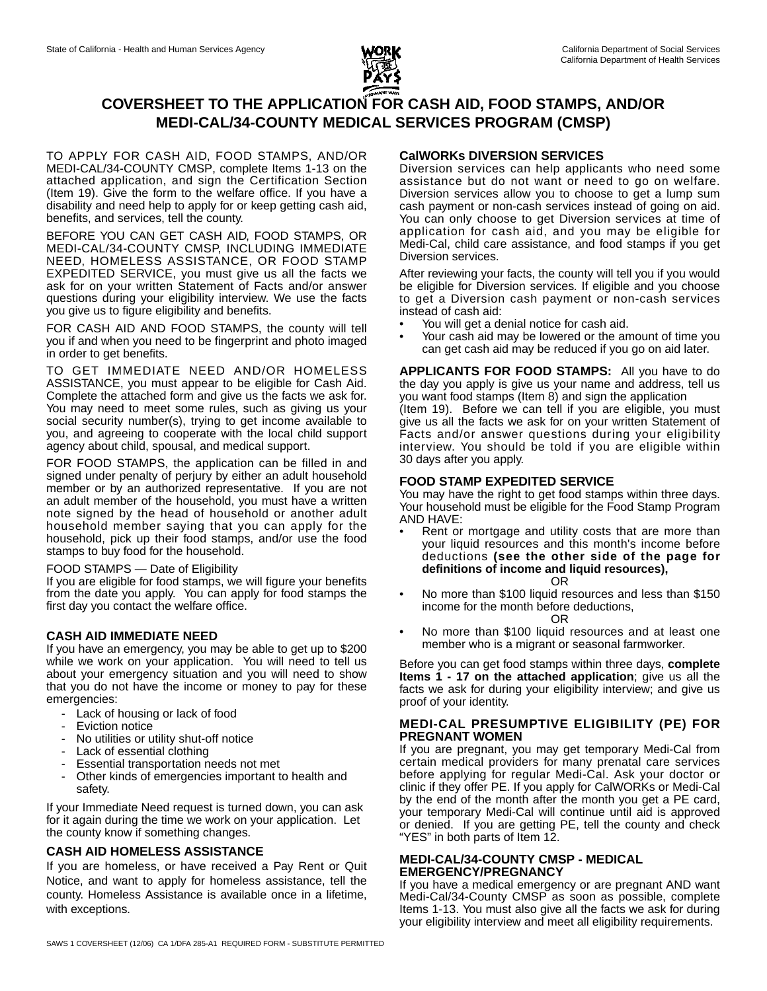

# **COVERSHEET TO THE APPLICATION FOR CASH AID, FOOD STAMPS, AND/OR MEDI-CAL/34-COUNTY MEDICAL SERVICES PROGRAM (CMSP)**

TO APPLY FOR CASH AID, FOOD STAMPS, AND/OR MEDI-CAL/34-COUNTY CMSP, complete Items 1-13 on the attached application, and sign the Certification Section (Item 19). Give the form to the welfare office. If you have a disability and need help to apply for or keep getting cash aid, benefits, and services, tell the county.

BEFORE YOU CAN GET CASH AID, FOOD STAMPS, OR MEDI-CAL/34-COUNTY CMSP, INCLUDING IMMEDIATE NEED, HOMELESS ASSISTANCE, OR FOOD STAMP EXPEDITED SERVICE, you must give us all the facts we ask for on your written Statement of Facts and/or answer questions during your eligibility interview. We use the facts you give us to figure eligibility and benefits.

FOR CASH AID AND FOOD STAMPS, the county will tell you if and when you need to be fingerprint and photo imaged in order to get benefits.

TO GET IMMEDIATE NEED AND/OR HOMELESS ASSISTANCE, you must appear to be eligible for Cash Aid. Complete the attached form and give us the facts we ask for. You may need to meet some rules, such as giving us your social security number(s), trying to get income available to you, and agreeing to cooperate with the local child support agency about child, spousal, and medical support.

FOR FOOD STAMPS, the application can be filled in and signed under penalty of perjury by either an adult household member or by an authorized representative. If you are not an adult member of the household, you must have a written note signed by the head of household or another adult household member saying that you can apply for the household, pick up their food stamps, and/or use the food stamps to buy food for the household.

#### FOOD STAMPS — Date of Eligibility

If you are eligible for food stamps, we will figure your benefits from the date you apply. You can apply for food stamps the first day you contact the welfare office.

## **CASH AID IMMEDIATE NEED**

If you have an emergency, you may be able to get up to \$200 while we work on your application. You will need to tell us about your emergency situation and you will need to show that you do not have the income or money to pay for these emergencies:

- Lack of housing or lack of food
- Eviction notice
- No utilities or utility shut-off notice
- Lack of essential clothing
- Essential transportation needs not met
- Other kinds of emergencies important to health and safety.

If your Immediate Need request is turned down, you can ask for it again during the time we work on your application. Let the county know if something changes.

## **CASH AID HOMELESS ASSISTANCE**

If you are homeless, or have received a Pay Rent or Quit Notice, and want to apply for homeless assistance, tell the county. Homeless Assistance is available once in a lifetime, with exceptions.

## **CalWORKs DIVERSION SERVICES**

Diversion services can help applicants who need some assistance but do not want or need to go on welfare. Diversion services allow you to choose to get a lump sum cash payment or non-cash services instead of going on aid. You can only choose to get Diversion services at time of application for cash aid, and you may be eligible for Medi-Cal, child care assistance, and food stamps if you get Diversion services.

After reviewing your facts, the county will tell you if you would be eligible for Diversion services. If eligible and you choose to get a Diversion cash payment or non-cash services instead of cash aid:

- You will get a denial notice for cash aid.
- Your cash aid may be lowered or the amount of time you can get cash aid may be reduced if you go on aid later.

**APPLICANTS FOR FOOD STAMPS:** All you have to do the day you apply is give us your name and address, tell us you want food stamps (Item 8) and sign the application

(Item 19). Before we can tell if you are eligible, you must give us all the facts we ask for on your written Statement of Facts and/or answer questions during your eligibility interview. You should be told if you are eligible within 30 days after you apply.

## **FOOD STAMP EXPEDITED SERVICE**

You may have the right to get food stamps within three days. Your household must be eligible for the Food Stamp Program AND HAVE:

- Rent or mortgage and utility costs that are more than your liquid resources and this month's income before deductions **(see the other side of the page for definitions of income and liquid resources),** OR
- No more than \$100 liquid resources and less than \$150 income for the month before deductions,

#### OR

• No more than \$100 liquid resources and at least one member who is a migrant or seasonal farmworker.

Before you can get food stamps within three days, **complete Items 1 - 17 on the attached application**; give us all the facts we ask for during your eligibility interview; and give us proof of your identity.

#### **MEDI-CAL PRESUMPTIVE ELIGIBILITY (PE) FOR PREGNANT WOMEN**

If you are pregnant, you may get temporary Medi-Cal from certain medical providers for many prenatal care services before applying for regular Medi-Cal. Ask your doctor or clinic if they offer PE. If you apply for CalWORKs or Medi-Cal by the end of the month after the month you get a PE card, your temporary Medi-Cal will continue until aid is approved or denied. If you are getting PE, tell the county and check "YES" in both parts of Item 12.

## **MEDI-CAL/34-COUNTY CMSP - MEDICAL EMERGENCY/PREGNANCY**

If you have a medical emergency or are pregnant AND want Medi-Cal/34-County CMSP as soon as possible, complete Items 1-13. You must also give all the facts we ask for during your eligibility interview and meet all eligibility requirements.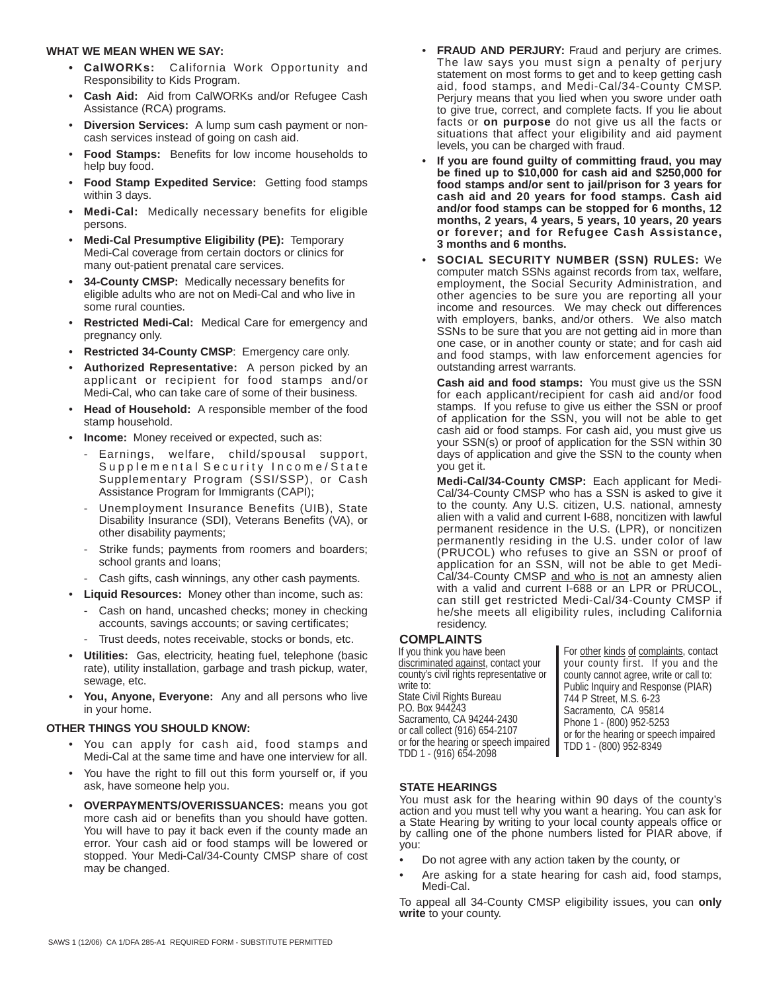#### **WHAT WE MEAN WHEN WE SAY:**

- **CalWORKs:** California Work Opportunity and Responsibility to Kids Program.
- **Cash Aid:** Aid from CalWORKs and/or Refugee Cash Assistance (RCA) programs.
- **Diversion Services:** A lump sum cash payment or noncash services instead of going on cash aid.
- **Food Stamps:** Benefits for low income households to help buy food.
- **Food Stamp Expedited Service:** Getting food stamps within 3 days.
- **Medi-Cal:** Medically necessary benefits for eligible persons.
- **Medi-Cal Presumptive Eligibility (PE):** Temporary Medi-Cal coverage from certain doctors or clinics for many out-patient prenatal care services.
- **34-County CMSP:** Medically necessary benefits for eligible adults who are not on Medi-Cal and who live in some rural counties.
- **Restricted Medi-Cal: Medical Care for emergency and** pregnancy only.
- **Restricted 34-County CMSP:** Emergency care only.
- **Authorized Representative:** A person picked by an applicant or recipient for food stamps and/or Medi-Cal, who can take care of some of their business.
- **Head of Household:** A responsible member of the food stamp household.
- **Income:** Money received or expected, such as:
	- Earnings, welfare, child/spousal support, Supplemental Security Income/State Supplementary Program (SSI/SSP), or Cash Assistance Program for Immigrants (CAPI);
	- Unemployment Insurance Benefits (UIB), State Disability Insurance (SDI), Veterans Benefits (VA), or other disability payments;
	- Strike funds; payments from roomers and boarders; school grants and loans;
	- Cash gifts, cash winnings, any other cash payments.
- **Liquid Resources:** Money other than income, such as: - Cash on hand, uncashed checks; money in checking accounts, savings accounts; or saving certificates;
	- Trust deeds, notes receivable, stocks or bonds, etc.
- **Utilities:** Gas, electricity, heating fuel, telephone (basic rate), utility installation, garbage and trash pickup, water, sewage, etc.
- You, Anyone, Everyone: Any and all persons who live in your home.

## **OTHER THINGS YOU SHOULD KNOW:**

- You can apply for cash aid, food stamps and Medi-Cal at the same time and have one interview for all.
- You have the right to fill out this form yourself or, if you ask, have someone help you.
- **OVERPAYMENTS/OVERISSUANCES:** means you got more cash aid or benefits than you should have gotten. You will have to pay it back even if the county made an error. Your cash aid or food stamps will be lowered or stopped. Your Medi-Cal/34-County CMSP share of cost may be changed.
- **FRAUD AND PERJURY:** Fraud and perjury are crimes. The law says you must sign a penalty of perjury statement on most forms to get and to keep getting cash aid, food stamps, and Medi-Cal/34-County CMSP. Perjury means that you lied when you swore under oath to give true, correct, and complete facts. If you lie about facts or **on purpose** do not give us all the facts or situations that affect your eligibility and aid payment levels, you can be charged with fraud.
- **If you are found guilty of committing fraud, you may be fined up to \$10,000 for cash aid and \$250,000 for food stamps and/or sent to jail/prison for 3 years for cash aid and 20 years for food stamps. Cash aid and/or food stamps can be stopped for 6 months, 12 months, 2 years, 4 years, 5 years, 10 years, 20 years or forever; and for Refugee Cash Assistance, 3 months and 6 months.**
- **SOCIAL SECURITY NUMBER (SSN) RULES:** We computer match SSNs against records from tax, welfare, employment, the Social Security Administration, and other agencies to be sure you are reporting all your income and resources. We may check out differences with employers, banks, and/or others. We also match SSNs to be sure that you are not getting aid in more than one case, or in another county or state; and for cash aid and food stamps, with law enforcement agencies for outstanding arrest warrants.

**Cash aid and food stamps:** You must give us the SSN for each applicant/recipient for cash aid and/or food stamps. If you refuse to give us either the SSN or proof of application for the SSN, you will not be able to get cash aid or food stamps. For cash aid, you must give us your SSN(s) or proof of application for the SSN within 30 days of application and give the SSN to the county when you get it.

**Medi-Cal/34-County CMSP:** Each applicant for Medi-Cal/34-County CMSP who has a SSN is asked to give it to the county. Any U.S. citizen, U.S. national, amnesty alien with a valid and current I-688, noncitizen with lawful permanent residence in the U.S. (LPR), or noncitizen permanently residing in the U.S. under color of law (PRUCOL) who refuses to give an SSN or proof of application for an SSN, will not be able to get Medi-Cal/34-County CMSP and who is not an amnesty alien with a valid and current I-688 or an LPR or PRUCOL, can still get restricted Medi-Cal/34-County CMSP if he/she meets all eligibility rules, including California residency.

#### **COMPLAINTS**

If you think you have been discriminated against, contact your county's civil rights representative or write to: State Civil Rights Bureau P.O. Box 944243 Sacramento, CA 94244-2430 or call collect (916) 654-2107 or for the hearing or speech impaired TDD 1 - (916) 654-2098

For other kinds of complaints, contact your county first. If you and the county cannot agree, write or call to: Public Inquiry and Response (PIAR) 744 P Street, M.S. 6-23 Sacramento, CA 95814 Phone 1 - (800) 952-5253 or for the hearing or speech impaired TDD 1 - (800) 952-8349

## **STATE HEARINGS**

You must ask for the hearing within 90 days of the county's action and you must tell why you want a hearing. You can ask for a State Hearing by writing to your local county appeals office or by calling one of the phone numbers listed for PIAR above, if you:

- Do not agree with any action taken by the county, or
- Are asking for a state hearing for cash aid, food stamps, Medi-Cal.

To appeal all 34-County CMSP eligibility issues, you can **only write** to your county.